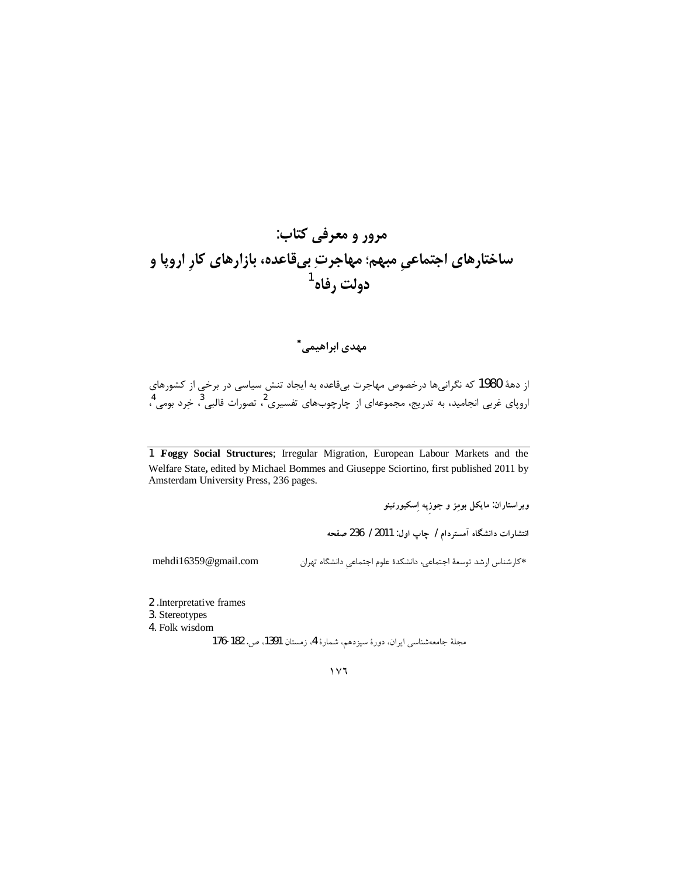## مرور و معرفی کتاب: ساختارهای اجتماع*یِ* مبهم؛ مهاجرتِ بیقاعده، بازارهای کارِ اروپا و دولت رفاه<sup>1</sup>

## مهدی ابراهیمے,\*

از دههٔ 1980 که نگرانیها درخصوص مهاجرت بیقاعده به ایجاد تنش سیاسی در برخی از کشورهای اروپای غربی انجامید، به تدریج، مجموعهای از چارچوبهای تفسیری <sup>2</sup>، تصورات قالبی<sup>3</sup>، خِرد بومی <sup>4</sup>،

1 Foggy Social Structures; Irregular Migration, European Labour Markets and the Welfare State, edited by Michael Bommes and Giuseppe Sciortino, first published 2011 by Amsterdam University Press, 236 pages.

ویراستاران: مایکل بومِز و جوزپه اِسکیورتینو

انتشارات دانشگاه آمستردام / چاپ اول: 2011 / 236 صفحه

mehdi16359@gmail.com

\*كارشناس ارشد توسعهٔ اجتماعي، دانشكدهٔ علوم اجتماعي دانشگاه تهران

2 .Interpretative frames 3. Stereotypes

4. Folk wisdom

مجلة جامعه شناسي ايران، دورة سيزدهم، شمارة 4، زمستان 1391، ص. 182-176

 $\gamma \vee \gamma$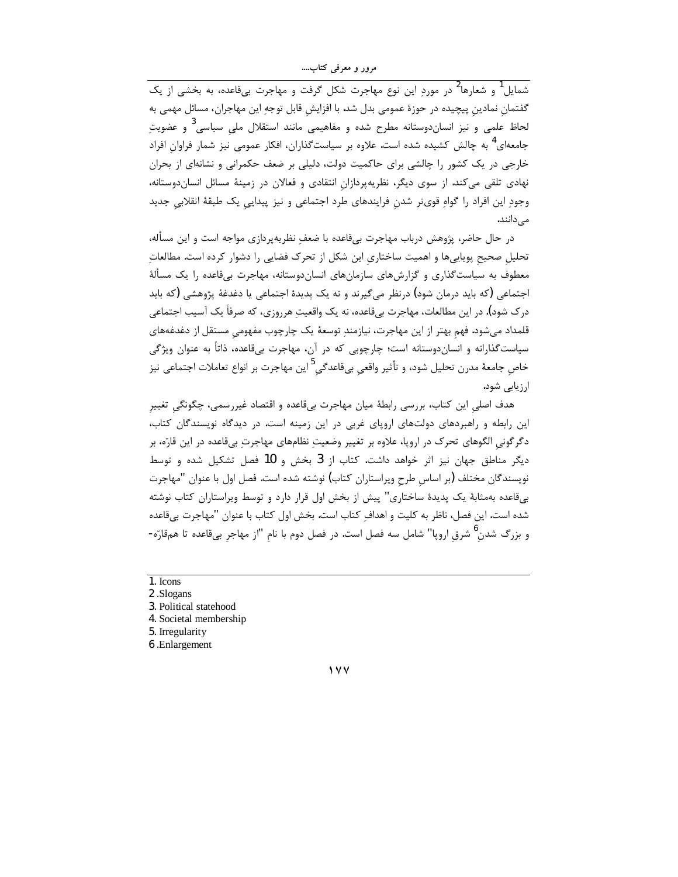مرور و معرفی کتاب....

۔<br>شمایل <sup>1</sup> و شعارها<sup>2</sup> در مورد این نوع مهاجرت شکل گرفت و مهاجرت بیقاعده، به بخشی از یک گفتمان نمادین پیچیده در حوزهٔ عمومی بدل شد. با افزایش قابل توجهِ این مهاجران، مسائل مهمی به لحاظ علمی و نیز انساندوستانه مطرح شده و مفاهیمی مانند استقلال ملی سیاسی<sup>3</sup> و عضویت جامعهای<sup>4</sup> به چالش کشیده شده است. علاوه بر سیاستگذاران، افکار عمومی نیز شمار فراوان افراد خارجی در یک کشور را چالشی برای حاکمیت دولت، دلیلی بر ضعف حکمرانی و نشانهای از بحران نهادی تلقی میکند. از سوی دیگر، نظریهپردازان انتقادی و فعالان در زمینهٔ مسائل انساندوستانه، وجود این افراد را گواه قویتر شدن فرایندهای طرد اجتماعی و نیز پیدایی یک طبقهٔ انقلابی جدید مىدانند.

در حال حاضر، پژوهش درباب مهاجرت بیقاعده با ضعف نظریهپردازی مواجه است و این مسأله، تحلیل صحیح پویاییها و اهمیت ساختاری این شکل از تحرک فضایی را دشوار کرده است. مطالعات معطوف به سیاستگذاری و گزارشهای سازمانهای انساندوستانه، مهاجرت بیقاعده را یک مسألهٔ اجتماعی (که باید درمان شود) درنظر می¢یرند و نه یک پدیدهٔ اجتماعی یا دغدغهٔ پژوهشی (که باید درک شود). در این مطالعات، مهاجرت بیقاعده، نه یک واقعیتِ هرروزی، که صرفاً یک آسیب اجتماعی قلمداد میشود. فهم بهتر از این مهاجرت، نیازمند توسعهٔ یک چارچوب مفهومی مستقل از دغدغههای سیاستگذارانه و انساندوستانه است؛ چارچوبی که در آن، مهاجرت بیقاعده، ذاتاً به عنوان ویژگی خاص جامعهٔ مدرن تحلیل شود، و تأثیر واقعی بیقاعدگی<sup>5</sup>این مهاجرت بر انواع تعاملات اجتماعی نیز ارزیابی شود.

هدف اصلی این کتاب، بررسی رابطهٔ میان مهاجرت بیقاعده و اقتصاد غیررسمی، چگونگی تغییر این رابطه و راهبردهای دولتهای اروپای غربی در این زمینه است. در دیدگاه نویسندگان کتاب، دگر گونی الگوهای تحرک در اروپا، علاوه بر تغییر وضعیتِ نظامهای مهاجرتِ بیقاعده در این قارّه، بر دیگر مناطق جهان نیز اثر خواهد داشت. کتاب از 3 بخش و 10 فصل تشکیل شده و توسط نویسندگان مختلف (بر اساس طرح ویراستاران کتاب) نوشته شده است. فصل اول با عنوان "مهاجرت بیقاعده بهمثابهٔ یک پدیدهٔ ساختاری" پیش از بخش اول قرار دارد و توسط ویراستاران کتاب نوشته شده است. این فصل، ناظر به کلیت و اهداف کتاب است. بخش اول کتاب با عنوان "مهاجرت بیقاعده و بزرگ شدن<sup>0</sup> شرق اروپا" شامل سه فصل است. در فصل دوم با نام "از مهاجر بیقاعده تا همقارّه-

1. Icons

3. Political statehood

4. Societal membership

5. Irregularity

6 .Enlargement

 $1 YY$ 

<sup>2.</sup>Slogans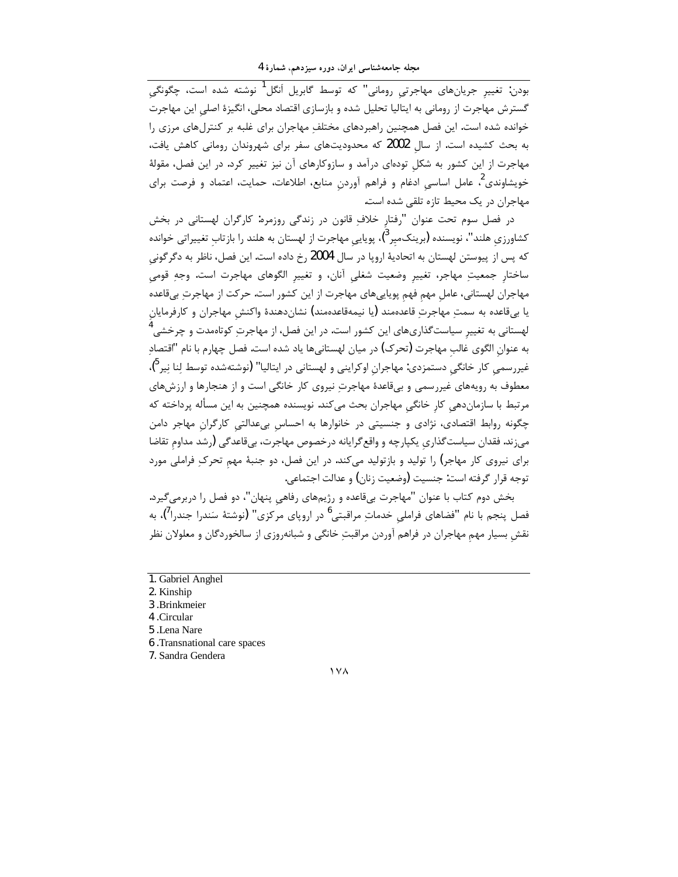مجله جامعهشناسی ایران، دوره سیزدهم، شمارهٔ 4

.<br>بودن: تغییر جریانهای مهاجرتی رومانی" که توسط گابریل اَنگل<sup>1</sup> نوشته شده است، چگونگی گسترش مهاجرت از رومانی به ایتالیا تحلیل شده و بازسازی اقتصاد محلی، انگیزهٔ اصلی این مهاجرت خوانده شده است. این فصل همچنین راهبردهای مختلف مهاجران برای غلبه بر کنترلهای مرزی را به بحث کشیده است. از سال 2002 که محدودیتهای سفر برای شهروندان رومانی کاهش یافت، مهاجرت از این کشور به شکل تودهای درآمد و سازوکارهای آن نیز تغییر کرد. در این فصل، مقولهٔ خویشاوندی<sup>2</sup> عامل اساسی ادغام و فراهم آوردن منابع، اطلاعات، حمایت، اعتماد و فرصت برای مهاجران در یک محیط تازه تلقی شده است.

در فصل سوم تحت عنوان "رفتار خلافِ قانون در زندگی روزمره: کارگران لهستانی در بخش کشاورزی هلند"، نویسنده (برینکمیر<sup>3</sup>)، پویایی مهاجرت از لهستان به هلند را بازتاب تغییراتی خوانده كه پس از پيوستن لهستان به اتحاديهٔ اروپا در سال 2004 رخ داده است. اين فصل، ناظر به دگرگوني ساختار جمعیتِ مهاجر، تغییر وضعیت شغلی آنان، و تغییر الگوهای مهاجرت است. وجهِ قومی مهاجران لهستانی، عامل مهم فهم پویاییهای مهاجرت از این کشور است. حرکت از مهاجرت بیقاعده يا بيقاعده به سمت مهاجرت قاعدهمند (يا نيمهقاعدهمند) نشاندهندهٔ واكنش مهاجران و كارفرمايان لهستانی به تغییر سیاست $^3$ ذاریهای این کشور است. در این فصل، از مهاجرتِ کوتاهمدت و چرخشی $^4$ به عنوان الگوی غالب مهاجرت (تحرک) در میان لهستانیها یاد شده است. فصل چهارم با نام "اقتصاد غیررسمی کار خانگی دستمزدی: مهاجران اوکراینی و لهستانی در ایتالیا" (نوشتهشده توسط لنا نیر<sup>ه</sup>)، معطوف به رویههای غیررسمی و بیقاعدهٔ مهاجرت نیروی کار خانگی است و از هنجارها و ارزشهای مرتبط با سازماندهی کار خانگی مهاجران بحث میکند. نویسنده همچنین به این مسأله پرداخته که .<br>چگونه روابط اقتصادی، نژادی و جنسیتی در خانوارها به احساس بیعدالتی کارگران مهاجر دامن می;ند. فقدان سیاست گذاری یکپارچه و واقع گرایانه درخصوص مهاجرت، بیقاعدگی (رشد مداوم تقاضا برای نیروی کار مهاجر) را تولید و بازتولید میکند. در این فصل، دو جنبهٔ مهم تحرک فراملی مورد توجه قرار گرفته است: جنسیت (وضعیت زنان) و عدالت اجتماعی.

بخش دوم کتاب با عنوان "مهاجرت بیقاعده و رژیمهای رفاهی پنهان"، دو فصل را دربرمیگیرد. فصل پنجم با نام "فضاهای فراملی خدماتِ مراقبتی<sup>6</sup> در اروپای مرکزی" (نوشتهٔ سَندرا جندرا<sup>7</sup>)، به نقش بسیار مهم مهاجران در فراهم آوردن مراقبت خانگی و شبانهروزی از سالخوردگان و معلولان نظر

- 1. Gabriel Anghel
- 2. Kinship
- 3. Brinkmeier
- 4. Circular
- 5 .Lena Nare
- 6. Transnational care spaces
- 7. Sandra Gendera

 $14\lambda$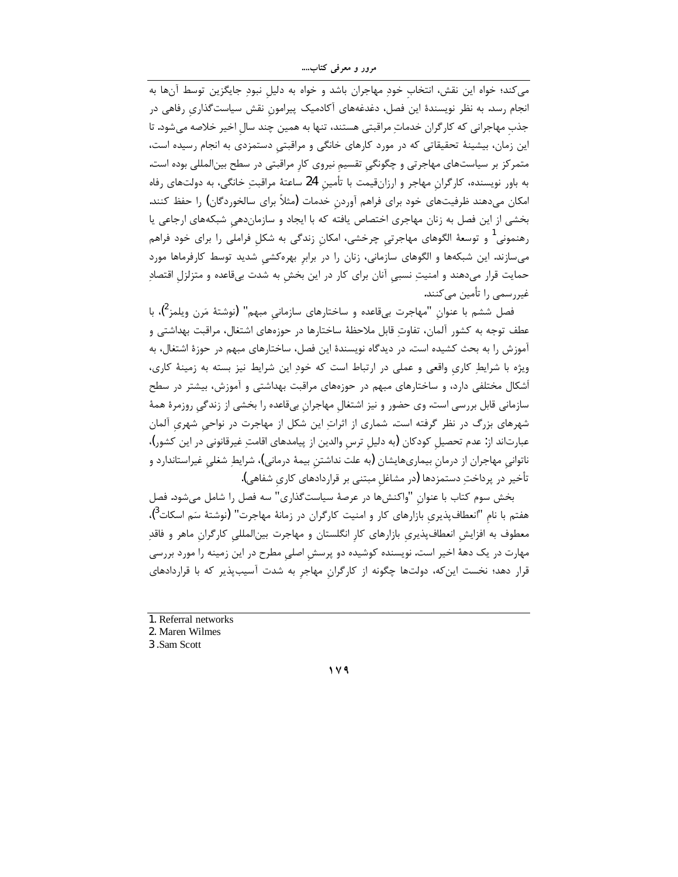مرور و معرفی کتاب....

می کند؛ خواه این نقش، انتخاب خود مهاجران باشد و خواه به دلیل نبود جایگزین توسط آنها به انجام رسد. به نظر نویسندهٔ این فصل، دغدغههای آکادمیک پیرامون نقش سیاستگذاری رفاهی در جذب مهاجرانی که کارگران خدماتِ مراقبتی هستند، تنها به همین چند سال اخیر خلاصه می شود. تا این زمان، بیشینهٔ تحقیقاتی که در مورد کارهای خانگی و مراقبتی دستمزدی به انجام رسیده است، متمرکز بر سیاستهای مهاجرتی و چگونگی تقسیم نیروی کار مراقبتی در سطح بینالمللی بوده است. به باور نویسنده، کارگران مهاجر و ارزانقیمت با تأمین 24 ساعتهٔ مراقبتِ خانگی، به دولتهای رفاه امکان میدهند ظرفیتهای خود برای فراهم آوردن خدمات (مثلاً برای سالخوردگان) را حفظ کنند. بخشی از این فصل به زنان مهاجری اختصاص یافته که با ایجاد و سازماندهی شبکههای ارجاعی یا رهنمونی<sup>1</sup> و توسعهٔ الگوهای مهاجرتی چرخشی، امکان زندگی به شکل فراملی را برای خود فراهم میسازند. این شبکهها و الگوهای سازمانی، زنان را در برابر بهرهکشی شدید توسط کارفرماها مورد حمایت قرار میدهند و امنیتِ نسبی آنان برای کار در این بخش به شدت بیقاعده و متزلزل اقتصادِ غیررسمی را تأمین میکنند.

فصل ششم با عنوان "مهاجرت بيiقعده و ساختارهاي سازماني مبهم" (نوشتهٔ مَرن ويلمز<sup>2</sup>)، با عطف توجه به کشور آلمان، تفاوت قابل ملاحظهٔ ساختارها در حوزههای اشتغال، مراقبت بهداشتی و آموزش را به بحث کشیده است. در دیدگاه نویسندهٔ این فصل، ساختارهای مبهم در حوزهٔ اشتغال، به ویژه با شرایطِ کاری واقعی و عملی در ارتباط است که خودِ این شرایط نیز بسته به زمینهٔ کاری، أشکال مختلفی دارد، و ساختارهای مبهم در حوزههای مراقبت بهداشتی و آموزش، بیشتر در سطح سازمانی قابل بررسی است. وی حضور و نیز اشتغال مهاجران بیقاعده را بخشی از زندگی روزمرهٔ همهٔ شهرهای بزرگ در نظر گرفته است. شماری از اثراتِ این شکل از مهاجرت در نواحی شهری آلمان عبارتاند از: عدم تحصیل کودکان (به دلیل ترس والدین از پیامدهای اقامت غیرقانونی در این کشور)، ناتوانی مهاجران از درمان بیماریهایشان (به علت نداشتن بیمهٔ درمانی)، شرایطِ شغلی غیراستاندارد و تأخير در پرداختِ دستمزدها (در مشاغل مبتنى بر قراردادهاى كارى شفاهى).

بخش سوم كتاب با عنوان "واكنشها در عرصهٔ سياستگذاري" سه فصل را شامل مي شود. فصل هفتم با نام "انعطافپذیری بازارهای کار و امنیت کارگران در زمانهٔ مهاجرت" (نوشتهٔ سَم اسکات<sup>3</sup>)، معطوف به افزایش انعطافپذیری بازارهای کار انگلستان و مهاجرت بین|لمللی کارگران ماهر و فاقدِ مهارت در یک دههٔ اخیر است. نویسنده کوشیده دو پرسش اصلی مطرح در این زمینه را مورد بررسی قرار دهد؛ نخست این که، دولتها چگونه از کارگران مهاجر به شدت آسیبپذیر که با قراردادهای

1. Referral networks

3.Sam Scott

 $119$ 

<sup>2.</sup> Maren Wilmes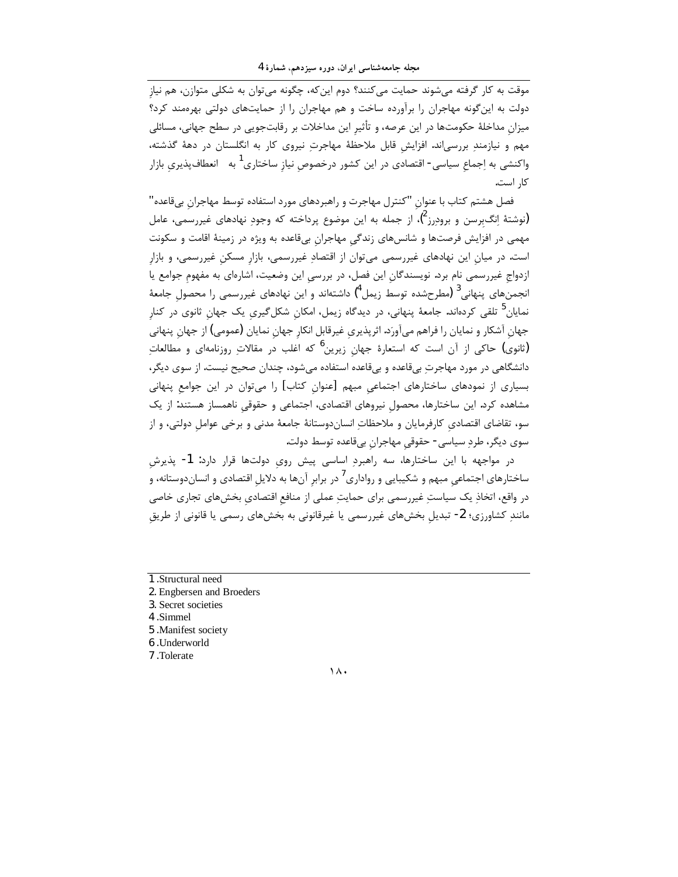موقت به کار گرفته می شوند حمایت می کنند؟ دوم این که، چگونه می توان به شکلی متوازن، هم نیاز دولت به این گونه مهاجران را برآورده ساخت و هم مهاجران را از حمایتهای دولتی بهرهمند کرد؟ .<br>میزان مداخلهٔ حکومتها در این عرصه، و تأثیر این مداخلات بر رقابتجویی در سطح جهانی، مسائلی مهم و نیازمندِ بررسیاند. افزایش قابل ملاحظهٔ مهاجرتِ نیروی کار به انگلستان در دههٔ گذشته، واکنشی به اِجماع سیاسی- اقتصادی در این کشور درخصوص نیاز ساختاری<sup>1</sup> به انعطاف<code>پذیری</code> بازار كا, است.

فصل هشتم کتاب با عنوان "کنترل مهاجرت و راهبردهای مورد استفاده توسط مهاجران بیقاعده" (نوشتهٔ انگ $_K$ بسن و برودرز $^2$ ، از جمله به این موضوع پرداخته که وجود نهادهای غیررسمی، عامل مهمی در افزایش فرصتها و شانسهای زندگی مهاجران بیقاعده به ویژه در زمینهٔ اقامت و سکونت است. در میان این نهادهای غیررسمی میتوان از اقتصادِ غیررسمی، بازار مسکن غیررسمی، و بازار ازدواج غیررسمی نام برد. نویسندگان این فصل، در بررسی این وضعیت، اشارهای به مفهوم جوامع یا انجمنهای پنهانی<sup>3</sup> (مطرحشده توسط زیمل<sup>4</sup>) داشتهاند و این نهادهای غیررسمی را محصول جامعهٔ نمایان<sup>5</sup> تلقی کردهاند. جامعهٔ پنهانی، در دیدگاه زیمل، امکان شکلگیری یک جهان ثانوی در کنار جهان آشکار و نمایان را فراهم میآورَد. اثرپذیری غیرقابل انکار جهان نمایان (عمومی) از جهان پنهانی (ثانوی) حاکی از آن است که استعارهٔ جهان زیرین<sup>6</sup> که اغلب در مقالات روزنامهای و مطالعات دانشگاهی در مورد مهاجرت بیقاعده و بیقاعده استفاده می شود، چندان صحیح نیست. از سوی دیگر، بسیاری از نمودهای ساختارهای اجتماعی مبهم [عنوان کتاب] را میتوان در این جوامع پنهانی مشاهده کرد. این ساختارها، محصول نیروهای اقتصادی، اجتماعی و حقوقی ناهمساز هستند: از یک سو، تقاضای اقتصادی کارفرمایان و ملاحظات انساندوستانهٔ جامعهٔ مدنی و برخی عوامل دولتی، و از سوی دیگر، طرد سیاسی- حقوقی مهاجران بیقاعده توسط دولت.

در مواجهه با این ساختارها، سه راهبردِ اساسی پیش روی دولتها قرار دارد: 1- پذیرش ساختارهای اجتماعی مبهم و شکیبایی و رواداری<sup>7</sup> در برابر آنها به دلایل اقتصادی و انساندوستانه، و در واقع، اتخاذِ یک سیاستِ غیررسمی برای حمایتِ عملی از منافع اقتصادی بخشهای تجاری خاصی مانند کشاورزی؛ 2- تبدیل بخشهای غیررسمی یا غیرقانونی به بخشهای رسمی یا قانونی از طریق

- 1. Structural need
- 2. Engbersen and Broeders
- 3. Secret societies
- 4.Simmel
- 5 .Manifest society
- 6. Underworld
- 7. Tolerate

 $\lambda$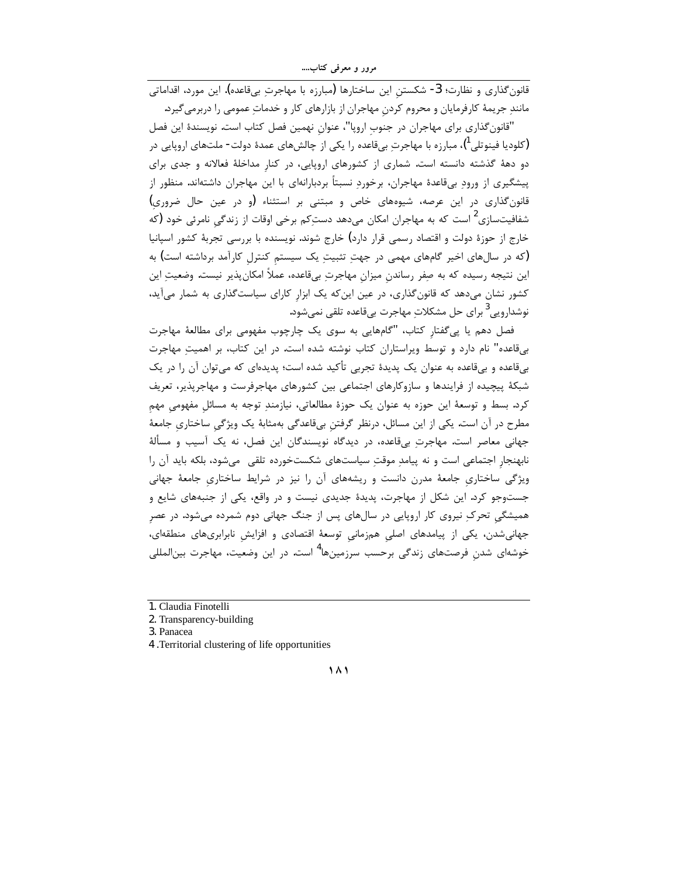مرور و معرفی کتاب....

.<br>قانون گذاری و نظارت؛ 3- شکستن این ساختارها (مبارزه با مهاجرت بیقاعده). این مورد، اقداماتی مانندِ جریمهٔ کارفرمایان و محروم کردن مهاجران از بازارهای کار و خدماتِ عمومی را دربرمیگیرد.

"قانون گذاری برای مهاجران در جنوب اروپا"، عنوان نهمین فصل کتاب است. نویسندهٔ این فصل (کلودیا فینوتلی ')، مبارزه با مهاجرتِ بیقاعده را یکی از چالشهای عمدهٔ دولت- ملتهای اروپایی در دو دههٔ گذشته دانسته است. شماری از کشورهای اروپایی، در کنار مداخلهٔ فعالانه و جدی برای پیشگیری از ورود بیقاعدهٔ مهاجران، برخوردِ نسبتاً بردبارانهای با این مهاجران داشتهاند. منظور از قانون گذاری در این عرصه، شیوههای خاص و مبتنی بر استثناء (و در عین حال ضروری) شفافیتسازی<sup>2</sup> است که به مهاجران امکان میدهد دستکم برخی اوقات از زندگی نامرئی خود (که خارج از حوزهٔ دولت و اقتصاد رسمی قرار دارد) خارج شوند. نویسنده با بررسی تجربهٔ کشور اسپانیا (که در سالهای اخیر گامهای مهمی در جهتِ تثبیتِ یک سیستم کنترل کارآمد برداشته است) به این نتیجه رسیده که به صِفر رساندن میزان مهاجرتِ بیقاعده، عملاً امکان پذیر نیست. وضعیتِ این کشور نشان میدهد که قانون گذاری، در عین این که یک ابزار کارای سیاست گذاری به شمار میآید، نوشدارويى<sup>3</sup> براى حل مشكلاتِ مهاجرت بىقاعده تلقى نمىشود.

فصل دهم یا پیگفتار کتاب، "گامهایی به سوی یک چارچوب مفهومی برای مطالعهٔ مهاجرت بیقاعده" نام دارد و توسط ویراستاران کتاب نوشته شده است. در این کتاب، بر اهمیت مهاجرت بیقاعده و بیقاعده به عنوان یک پدیدهٔ تجربی تأکید شده است؛ پدیدهای که میتوان آن را در یک شبکهٔ پیچیده از فرایندها و سازوکارهای اجتماعی بین کشورهای مهاجرفرست و مهاجرپذیر، تعریف کرد. بسط و توسعهٔ این حوزه به عنوان یک حوزهٔ مطالعاتی، نیازمند توجه به مسائل مفهومی مهم مطرح در آن است. یکی از این مسائل، درنظر گرفتن بیقاعدگی بهمثابهٔ یک ویژگی ساختاری جامعهٔ جهانی معاصر است. مهاجرت بیقاعده، در دیدگاه نویسندگان این فصل، نه یک آسیب و مسألهٔ نابهنجار اجتماعی است و نه پیامد موقت سیاستهای شکستخورده تلقی میشود، بلکه باید آن را ویژگی ساختاری جامعهٔ مدرن دانست و ریشههای آن را نیز در شرایط ساختاری جامعهٔ جهانی جستوجو کرد. این شکل از مهاجرت، پدیدهٔ جدیدی نیست و در واقع، یکی از جنبههای شایع و همیشگی تحرک نیروی کار اروپایی در سالهای پس از جنگ جهانی دوم شمرده می شود. در عصر جهانی شدن، یکی از پیامدهای اصلی همزمانی توسعهٔ اقتصادی و افزایش نابرابریهای منطقهای، خوشهای شدن فرصتهای زندگی برحسب سرزمینها<sup>4</sup> است. در این وضعیت، مهاجرت بین|لملل<sub>ی</sub>

<sup>1.</sup> Claudia Finotelli

<sup>2.</sup> Transparency-building

<sup>3.</sup> Panacea

<sup>4 .</sup>Territorial clustering of life opportunities